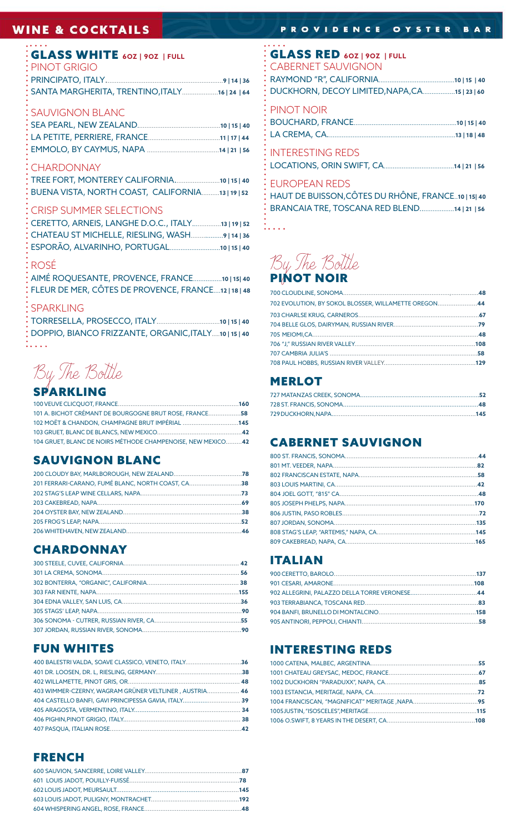# **WINE & COCKTAILS**

## **: GLASS WHITE** 60Z | 90Z | FULL

| : PINOT GRIGIO |                                                  |  |
|----------------|--------------------------------------------------|--|
|                |                                                  |  |
|                | : SANTA MARGHERITA, TRENTINO, ITALY 16   24   64 |  |

# :<br>SAUVIGNON BLANC

#### : CHARDONNAY

| BUENA VISTA, NORTH COAST, CALIFORNIA13   19   52 |  |
|--------------------------------------------------|--|

#### CRISP SUMMER SELECTIONS

| CERETTO, ARNEIS, LANGHE D.O.C., ITALY13   19   52 |  |
|---------------------------------------------------|--|
| CHATEAU ST MICHELLE, RIESLING, WASH9   14   36    |  |
| ESPORÃO, ALVARINHO, PORTUGAL10   15   40          |  |

#### ∶ROSÉ

AIMÉ ROQUESANTE, PROVENCE, FRANCE................10 | 15| 40 FLEUR DE MER, CÔTES DE PROVENCE, FRANCE....12 | 18 | 48

#### **SPARKLING**

| $\begin{array}{ccccccccccccccccc} \bullet & \bullet & \bullet & \bullet & \bullet & \bullet & \bullet \end{array}$ | * DOPPIO, BIANCO FRIZZANTE, ORGANIC, ITALY10   15   40 |  |
|--------------------------------------------------------------------------------------------------------------------|--------------------------------------------------------|--|

By The Bottle

# SPARKLING

| 101 A. BICHOT CRÉMANT DE BOURGOGNE BRUT ROSE, FRANCE58      |  |
|-------------------------------------------------------------|--|
| 102 MOËT & CHANDON, CHAMPAGNE BRUT IMPÉRIAL 145             |  |
|                                                             |  |
| 104 GRUET, BLANC DE NOIRS MÉTHODE CHAMPENOISE, NEW MEXICO42 |  |

# **SAUVIGNON BLANC**

| 201 FERRARI-CARANO, FUMÉ BLANC, NORTH COAST, CA38 |  |
|---------------------------------------------------|--|
|                                                   |  |
|                                                   |  |
|                                                   |  |
|                                                   |  |
|                                                   |  |
|                                                   |  |

# **CHARDONNAY**

# **FUN WHITES**

| 400 BALESTRI VALDA, SOAVE CLASSICO, VENETO, ITALY36    |  |
|--------------------------------------------------------|--|
|                                                        |  |
|                                                        |  |
| 403 WIMMER-CZERNY, WAGRAM GRÜNER VELTLINER, AUSTRIA 46 |  |
| 404 CASTELLO BANFI, GAVI PRINCIPESSA GAVIA, ITALY 39   |  |
|                                                        |  |
|                                                        |  |
|                                                        |  |

# **FRENCH**

## PROVIDENCE OYSTER BAR

## **GLASS RED 60Z | 90Z | FULL**

| <b>CABERNET SAUVIGNON</b><br>DUCKHORN, DECOY LIMITED, NAPA, CA15   23   60                                                |
|---------------------------------------------------------------------------------------------------------------------------|
| PINOT NOIR                                                                                                                |
| <b>INTERESTING REDS</b>                                                                                                   |
| <b>EUROPEAN REDS</b><br>HAUT DE BUISSON, CÔTES DU RHÔNE, FRANCE10   15  40<br>BRANCAIA TRE, TOSCANA RED BLEND14   21   56 |

# **By The Bottle**

 $\ldots$ 

| 702 EVOLUTION, BY SOKOL BLOSSER, WILLAMETTE OREGON44 |  |
|------------------------------------------------------|--|
|                                                      |  |
|                                                      |  |
|                                                      |  |
|                                                      |  |
|                                                      |  |
|                                                      |  |
|                                                      |  |

# **MERLOT**

# **CABERNET SAUVIGNON**

# **ITALIAN**

# **INTERESTING REDS**